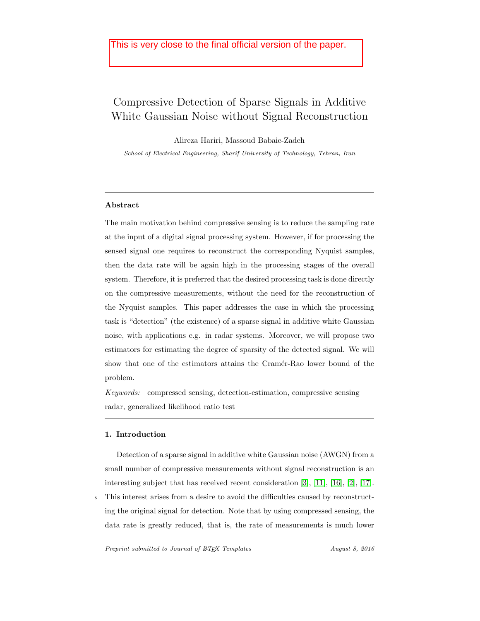## This is very close to the final official version of the paper.

# Compressive Detection of Sparse Signals in Additive White Gaussian Noise without Signal Reconstruction

Alireza Hariri, Massoud Babaie-Zadeh

School of Electrical Engineering, Sharif University of Technology, Tehran, Iran

### Abstract

The main motivation behind compressive sensing is to reduce the sampling rate at the input of a digital signal processing system. However, if for processing the sensed signal one requires to reconstruct the corresponding Nyquist samples, then the data rate will be again high in the processing stages of the overall system. Therefore, it is preferred that the desired processing task is done directly on the compressive measurements, without the need for the reconstruction of the Nyquist samples. This paper addresses the case in which the processing task is "detection" (the existence) of a sparse signal in additive white Gaussian noise, with applications e.g. in radar systems. Moreover, we will propose two estimators for estimating the degree of sparsity of the detected signal. We will show that one of the estimators attains the Cramér-Rao lower bound of the problem.

Keywords: compressed sensing, detection-estimation, compressive sensing radar, generalized likelihood ratio test

#### 1. Introduction

Detection of a sparse signal in additive white Gaussian noise (AWGN) from a small number of compressive measurements without signal reconstruction is an interesting subject that has received recent consideration [\[3\]](#page-28-0), [\[11\]](#page-29-0), [\[16\]](#page-29-1), [\[2\]](#page-28-1), [\[17\]](#page-29-2). <sup>5</sup> This interest arises from a desire to avoid the difficulties caused by reconstruct-

ing the original signal for detection. Note that by using compressed sensing, the data rate is greatly reduced, that is, the rate of measurements is much lower

Preprint submitted to Journal of LATEX Templates August 8, 2016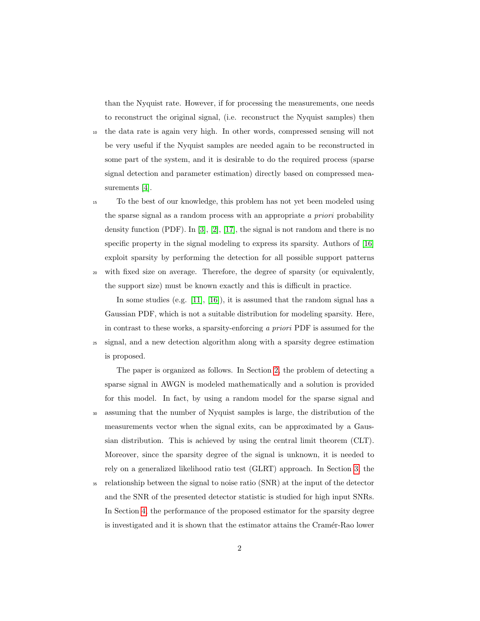than the Nyquist rate. However, if for processing the measurements, one needs to reconstruct the original signal, (i.e. reconstruct the Nyquist samples) then

- <sup>10</sup> the data rate is again very high. In other words, compressed sensing will not be very useful if the Nyquist samples are needed again to be reconstructed in some part of the system, and it is desirable to do the required process (sparse signal detection and parameter estimation) directly based on compressed measurements [\[4\]](#page-28-2).
- <sup>15</sup> To the best of our knowledge, this problem has not yet been modeled using the sparse signal as a random process with an appropriate a priori probability density function  $(PDF)$ . In [\[3\]](#page-28-0), [\[2\]](#page-28-1), [\[17\]](#page-29-2), the signal is not random and there is no specific property in the signal modeling to express its sparsity. Authors of [\[16\]](#page-29-1) exploit sparsity by performing the detection for all possible support patterns <sup>20</sup> with fixed size on average. Therefore, the degree of sparsity (or equivalently,
- the support size) must be known exactly and this is difficult in practice.

In some studies (e.g. [\[11\]](#page-29-0), [\[16\]](#page-29-1)), it is assumed that the random signal has a Gaussian PDF, which is not a suitable distribution for modeling sparsity. Here, in contrast to these works, a sparsity-enforcing a priori PDF is assumed for the <sup>25</sup> signal, and a new detection algorithm along with a sparsity degree estimation is proposed.

The paper is organized as follows. In Section [2,](#page-2-0) the problem of detecting a sparse signal in AWGN is modeled mathematically and a solution is provided for this model. In fact, by using a random model for the sparse signal and <sup>30</sup> assuming that the number of Nyquist samples is large, the distribution of the measurements vector when the signal exits, can be approximated by a Gaussian distribution. This is achieved by using the central limit theorem (CLT). Moreover, since the sparsity degree of the signal is unknown, it is needed to rely on a generalized likelihood ratio test (GLRT) approach. In Section [3,](#page-6-0) the

<sup>35</sup> relationship between the signal to noise ratio (SNR) at the input of the detector and the SNR of the presented detector statistic is studied for high input SNRs. In Section [4,](#page-6-1) the performance of the proposed estimator for the sparsity degree is investigated and it is shown that the estimator attains the Cramér-Rao lower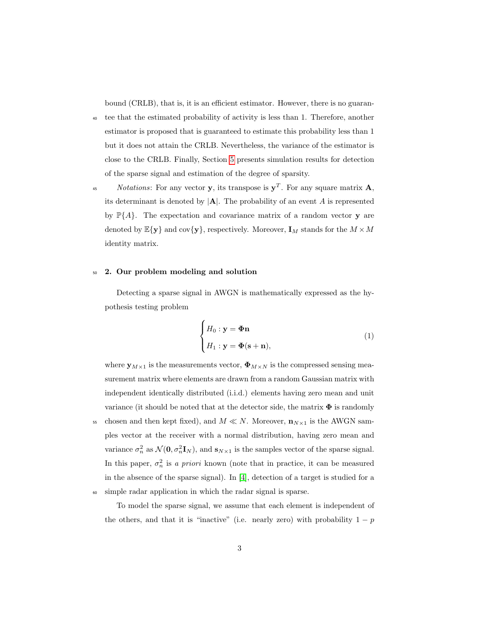bound (CRLB), that is, it is an efficient estimator. However, there is no guaran-

- <sup>40</sup> tee that the estimated probability of activity is less than 1. Therefore, another estimator is proposed that is guaranteed to estimate this probability less than 1 but it does not attain the CRLB. Nevertheless, the variance of the estimator is close to the CRLB. Finally, Section [5](#page-8-0) presents simulation results for detection of the sparse signal and estimation of the degree of sparsity.
- <sup>45</sup> Notations: For any vector **y**, its transpose is  $y^T$ . For any square matrix **A**, its determinant is denoted by  $|A|$ . The probability of an event A is represented by  $\mathbb{P}{A}$ . The expectation and covariance matrix of a random vector **y** are denoted by  $\mathbb{E}\{\mathbf{y}\}\$ and cov $\{\mathbf{y}\}\$ , respectively. Moreover,  $\mathbf{I}_M$  stands for the  $M \times M$ identity matrix.

#### <span id="page-2-0"></span><sup>50</sup> 2. Our problem modeling and solution

Detecting a sparse signal in AWGN is mathematically expressed as the hypothesis testing problem

<span id="page-2-1"></span>
$$
\begin{cases}\nH_0: \mathbf{y} = \mathbf{\Phi} \mathbf{n} \\
H_1: \mathbf{y} = \mathbf{\Phi} (\mathbf{s} + \mathbf{n}),\n\end{cases} (1)
$$

where  $\mathbf{y}_{M\times 1}$  is the measurements vector,  $\mathbf{\Phi}_{M\times N}$  is the compressed sensing measurement matrix where elements are drawn from a random Gaussian matrix with independent identically distributed (i.i.d.) elements having zero mean and unit variance (it should be noted that at the detector side, the matrix  $\Phi$  is randomly 55 chosen and then kept fixed), and  $M \ll N$ . Moreover,  $\mathbf{n}_{N\times 1}$  is the AWGN samples vector at the receiver with a normal distribution, having zero mean and variance  $\sigma_n^2$  as  $\mathcal{N}(\mathbf{0}, \sigma_n^2 \mathbf{I}_N)$ , and  $\mathbf{s}_{N \times 1}$  is the samples vector of the sparse signal. In this paper,  $\sigma_n^2$  is a priori known (note that in practice, it can be measured in the absence of the sparse signal). In [\[4\]](#page-28-2), detection of a target is studied for a <sup>60</sup> simple radar application in which the radar signal is sparse.

To model the sparse signal, we assume that each element is independent of the others, and that it is "inactive" (i.e. nearly zero) with probability  $1 - p$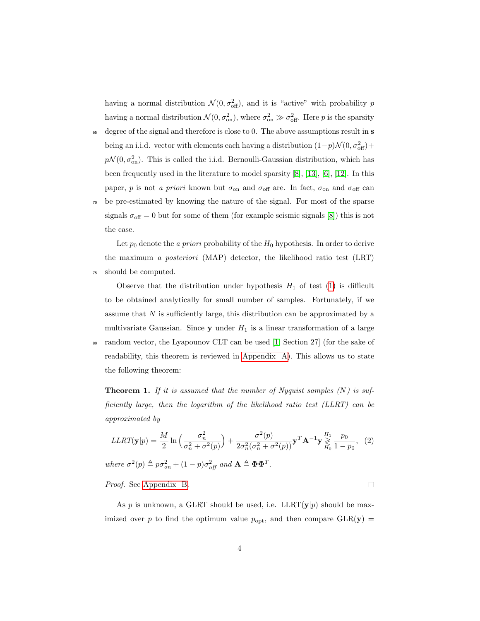having a normal distribution  $\mathcal{N}(0, \sigma_{\text{off}}^2)$ , and it is "active" with probability p having a normal distribution  $\mathcal{N}(0, \sigma_{\text{on}}^2)$ , where  $\sigma_{\text{on}}^2 \gg \sigma_{\text{off}}^2$ . Here p is the sparsity

- <sup>65</sup> degree of the signal and therefore is close to 0. The above assumptions result in **s** being an i.i.d. vector with elements each having a distribution  $(1-p)\mathcal{N}(0, \sigma_{\text{off}}^2)$ +  $p\mathcal{N}(0, \sigma_{\text{on}}^2)$ . This is called the i.i.d. Bernoulli-Gaussian distribution, which has been frequently used in the literature to model sparsity [\[8\]](#page-29-3), [\[13\]](#page-29-4), [\[6\]](#page-28-3), [\[12\]](#page-29-5). In this paper, p is not a priori known but  $\sigma_{\text{on}}$  and  $\sigma_{\text{off}}$  are. In fact,  $\sigma_{\text{on}}$  and  $\sigma_{\text{off}}$  can
- <sup>70</sup> be pre-estimated by knowing the nature of the signal. For most of the sparse signals  $\sigma_{\text{off}} = 0$  but for some of them (for example seismic signals [\[8\]](#page-29-3)) this is not the case.

Let  $p_0$  denote the a priori probability of the  $H_0$  hypothesis. In order to derive the maximum a posteriori (MAP) detector, the likelihood ratio test (LRT) <sup>75</sup> should be computed.

Observe that the distribution under hypothesis  $H_1$  of test [\(1\)](#page-2-1) is difficult to be obtained analytically for small number of samples. Fortunately, if we assume that  $N$  is sufficiently large, this distribution can be approximated by a multivariate Gaussian. Since  $y$  under  $H_1$  is a linear transformation of a large <sup>80</sup> random vector, the Lyapounov CLT can be used [\[1,](#page-28-4) Section 27] (for the sake of readability, this theorem is reviewed in [Appendix A\)](#page-18-0). This allows us to state the following theorem:

<span id="page-3-0"></span>**Theorem 1.** If it is assumed that the number of Nyquist samples  $(N)$  is sufficiently large, then the logarithm of the likelihood ratio test (LLRT) can be approximated by

$$
LLRT(\mathbf{y}|p) = \frac{M}{2} \ln \left( \frac{\sigma_n^2}{\sigma_n^2 + \sigma^2(p)} \right) + \frac{\sigma^2(p)}{2\sigma_n^2(\sigma_n^2 + \sigma^2(p))} \mathbf{y}^T \mathbf{A}^{-1} \mathbf{y} \underset{H_0}{\overset{H_1}{\geq}} \frac{p_0}{1 - p_0}, \tag{2}
$$

where  $\sigma^2(p) \triangleq p \sigma_{on}^2 + (1-p) \sigma_{off}^2$  and  $\mathbf{A} \triangleq \mathbf{\Phi} \mathbf{\Phi}^T$ .

Proof. See [Appendix B.](#page-18-1)

As p is unknown, a GLRT should be used, i.e.  $LLRT(y|p)$  should be maximized over p to find the optimum value  $p_{\text{opt}}$ , and then compare  $GLR(\mathbf{y}) =$ 

 $\Box$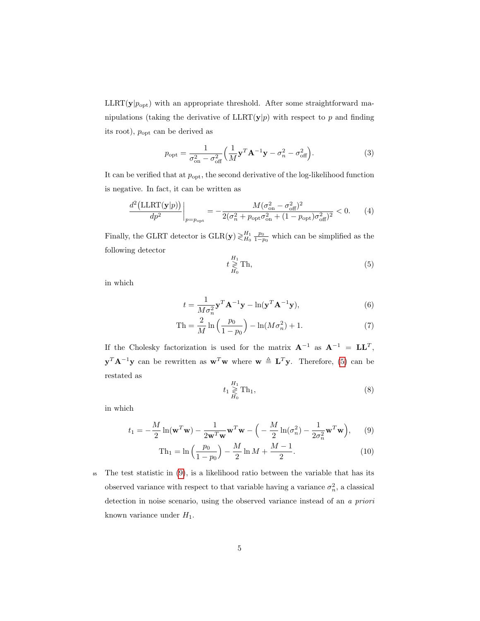$LLRT(y|p_{opt})$  with an appropriate threshold. After some straightforward manipulations (taking the derivative of  $LLRT(y|p)$  with respect to p and finding its root),  $p_{opt}$  can be derived as

<span id="page-4-3"></span>
$$
p_{\rm opt} = \frac{1}{\sigma_{\rm on}^2 - \sigma_{\rm off}^2} \left( \frac{1}{M} \mathbf{y}^T \mathbf{A}^{-1} \mathbf{y} - \sigma_n^2 - \sigma_{\rm off}^2 \right).
$$
 (3)

It can be verified that at  $p_{opt}$ , the second derivative of the log-likelihood function is negative. In fact, it can be written as

<span id="page-4-0"></span>
$$
\frac{d^2\left(\text{LLRT}(\mathbf{y}|p)\right)}{dp^2}\bigg|_{p=p_{\text{opt}}} = -\frac{M(\sigma_{\text{on}}^2 - \sigma_{\text{off}}^2)^2}{2(\sigma_n^2 + p_{\text{opt}}\sigma_{\text{on}}^2 + (1 - p_{\text{opt}})\sigma_{\text{off}}^2)^2} < 0. \tag{4}
$$

Finally, the GLRT detector is  $GLR(y) \gtrless H_0 \frac{p_0}{1-p_0}$  which can be simplified as the following detector

<span id="page-4-2"></span>
$$
t \underset{H_0}{\geq} \text{Th},\tag{5}
$$

in which

$$
t = \frac{1}{M\sigma_n^2} \mathbf{y}^T \mathbf{A}^{-1} \mathbf{y} - \ln(\mathbf{y}^T \mathbf{A}^{-1} \mathbf{y}),\tag{6}
$$

Th = 
$$
\frac{2}{M} \ln \left( \frac{p_0}{1 - p_0} \right) - \ln(M\sigma_n^2) + 1.
$$
 (7)

If the Cholesky factorization is used for the matrix  $A^{-1}$  as  $A^{-1} = LL^{T}$ ,  ${\bf y}^T {\bf A}^{-1} {\bf y}$  can be rewritten as  ${\bf w}^T {\bf w}$  where  ${\bf w} \triangleq {\bf L}^T {\bf y}$ . Therefore, [\(5\)](#page-4-0) can be restated as

<span id="page-4-1"></span>
$$
t_1 \underset{H_0}{\geq} \text{Th}_1,\tag{8}
$$

in which

$$
t_1 = -\frac{M}{2}\ln(\mathbf{w}^T\mathbf{w}) - \frac{1}{2\mathbf{w}^T\mathbf{w}}\mathbf{w}^T\mathbf{w} - \left(-\frac{M}{2}\ln(\sigma_n^2) - \frac{1}{2\sigma_n^2}\mathbf{w}^T\mathbf{w}\right),\tag{9}
$$

$$
\text{Th}_1 = \ln\left(\frac{p_0}{1 - p_0}\right) - \frac{M}{2}\ln M + \frac{M - 1}{2}.\tag{10}
$$

<sup>85</sup> The test statistic in [\(9\)](#page-4-1), is a likelihood ratio between the variable that has its observed variance with respect to that variable having a variance  $\sigma_n^2$ , a classical detection in noise scenario, using the observed variance instead of an a priori known variance under  $H_1$ .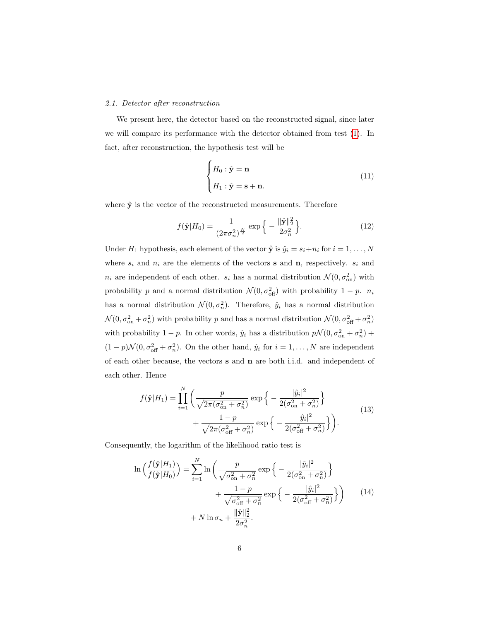#### 2.1. Detector after reconstruction

We present here, the detector based on the reconstructed signal, since later we will compare its performance with the detector obtained from test [\(1\)](#page-2-1). In fact, after reconstruction, the hypothesis test will be

<span id="page-5-0"></span>
$$
\begin{cases}\nH_0: \hat{\mathbf{y}} = \mathbf{n} \\
H_1: \hat{\mathbf{y}} = \mathbf{s} + \mathbf{n}.\n\end{cases} (11)
$$

where  $\hat{y}$  is the vector of the reconstructed measurements. Therefore

$$
f(\hat{\mathbf{y}}|H_0) = \frac{1}{(2\pi\sigma_n^2)^{\frac{N}{2}}} \exp\left\{-\frac{\|\hat{\mathbf{y}}\|_2^2}{2\sigma_n^2}\right\}.
$$
 (12)

Under  $H_1$  hypothesis, each element of the vector  $\hat{\mathbf{y}}$  is  $\hat{y}_i = s_i + n_i$  for  $i = 1, ..., N$ where  $s_i$  and  $n_i$  are the elements of the vectors **s** and **n**, respectively.  $s_i$  and  $n_i$  are independent of each other.  $s_i$  has a normal distribution  $\mathcal{N}(0, \sigma_{\text{on}}^2)$  with probability p and a normal distribution  $\mathcal{N}(0, \sigma_{\text{off}}^2)$  with probability  $1 - p$ .  $n_i$ has a normal distribution  $\mathcal{N}(0, \sigma_n^2)$ . Therefore,  $\hat{y}_i$  has a normal distribution  $\mathcal{N}(0, \sigma_{\text{on}}^2 + \sigma_n^2)$  with probability p and has a normal distribution  $\mathcal{N}(0, \sigma_{\text{off}}^2 + \sigma_n^2)$ with probability 1 – p. In other words,  $\hat{y}_i$  has a distribution  $p\mathcal{N}(0, \sigma_{\text{on}}^2 + \sigma_n^2)$  +  $(1-p)\mathcal{N}(0, \sigma_{\text{off}}^2 + \sigma_n^2)$ . On the other hand,  $\hat{y}_i$  for  $i = 1, ..., N$  are independent of each other because, the vectors s and n are both i.i.d. and independent of each other. Hence

$$
f(\hat{\mathbf{y}}|H_1) = \prod_{i=1}^{N} \left( \frac{p}{\sqrt{2\pi(\sigma_{\text{on}}^2 + \sigma_n^2)}} \exp\left\{-\frac{|\hat{y}_i|^2}{2(\sigma_{\text{on}}^2 + \sigma_n^2)}\right\} + \frac{1-p}{\sqrt{2\pi(\sigma_{\text{off}}^2 + \sigma_n^2)}} \exp\left\{-\frac{|\hat{y}_i|^2}{2(\sigma_{\text{off}}^2 + \sigma_n^2)}\right\} \right).
$$
(13)

Consequently, the logarithm of the likelihood ratio test is

<span id="page-5-1"></span>
$$
\ln\left(\frac{f(\hat{\mathbf{y}}|H_1)}{f(\hat{\mathbf{y}}|H_0)}\right) = \sum_{i=1}^N \ln\left(\frac{p}{\sqrt{\sigma_{\text{on}}^2 + \sigma_n^2}} \exp\left\{-\frac{|\hat{y}_i|^2}{2(\sigma_{\text{on}}^2 + \sigma_n^2)}\right\} + \frac{1-p}{\sqrt{\sigma_{\text{off}}^2 + \sigma_n^2}} \exp\left\{-\frac{|\hat{y}_i|^2}{2(\sigma_{\text{off}}^2 + \sigma_n^2)}\right\}\right)
$$
(14)  
+  $N \ln \sigma_n + \frac{\|\hat{\mathbf{y}}\|_2^2}{2\sigma_n^2}.$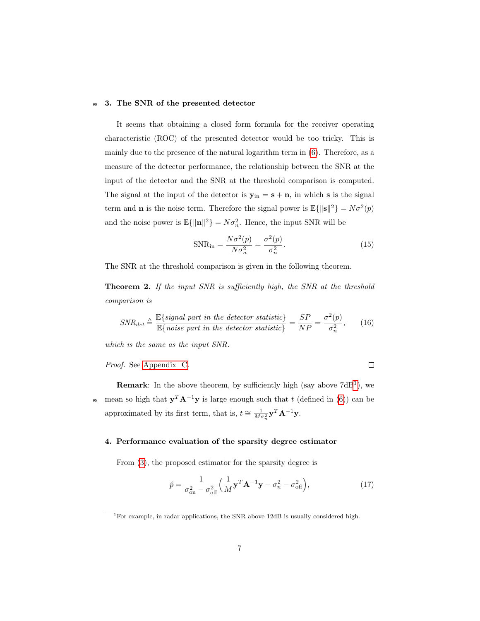#### <span id="page-6-0"></span><sup>90</sup> 3. The SNR of the presented detector

It seems that obtaining a closed form formula for the receiver operating characteristic (ROC) of the presented detector would be too tricky. This is mainly due to the presence of the natural logarithm term in [\(6\)](#page-4-2). Therefore, as a measure of the detector performance, the relationship between the SNR at the input of the detector and the SNR at the threshold comparison is computed. The signal at the input of the detector is  $y_{in} = s + n$ , in which s is the signal term and **n** is the noise term. Therefore the signal power is  $\mathbb{E}\{\|\mathbf{s}\|^2\} = N\sigma^2(p)$ and the noise power is  $\mathbb{E}\{\|\mathbf{n}\|^2\} = N\sigma_n^2$ . Hence, the input SNR will be

$$
SNR_{in} = \frac{N\sigma^2(p)}{N\sigma_n^2} = \frac{\sigma^2(p)}{\sigma_n^2}.
$$
\n(15)

<span id="page-6-5"></span><span id="page-6-3"></span> $\Box$ 

<span id="page-6-4"></span>The SNR at the threshold comparison is given in the following theorem.

Theorem 2. If the input SNR is sufficiently high, the SNR at the threshold comparison is

$$
SNR_{det} \triangleq \frac{\mathbb{E}\left\{ signal\ part\ in\ the\ detector\ statistic\right\}}{\mathbb{E}\left\{ noise\ part\ in\ the\ detector\ statistic\right\}} = \frac{SP}{NP} = \frac{\sigma^2(p)}{\sigma_n^2},\qquad(16)
$$

which is the same as the input SNR.

Proof. See [Appendix C.](#page-21-0)

**Remark**: In the above theorem, by sufficiently high (say above  $7dB<sup>1</sup>$  $7dB<sup>1</sup>$  $7dB<sup>1</sup>$ ), we <sup>95</sup> mean so high that  $y^T A^{-1}y$  is large enough such that t (defined in [\(6\)](#page-4-2)) can be approximated by its first term, that is,  $t \approx \frac{1}{M\sigma_n^2} \mathbf{y}^T \mathbf{A}^{-1} \mathbf{y}$ .

#### <span id="page-6-1"></span>4. Performance evaluation of the sparsity degree estimator

From [\(3\)](#page-4-3), the proposed estimator for the sparsity degree is

$$
\hat{p} = \frac{1}{\sigma_{\text{on}}^2 - \sigma_{\text{off}}^2} \left( \frac{1}{M} \mathbf{y}^T \mathbf{A}^{-1} \mathbf{y} - \sigma_n^2 - \sigma_{\text{off}}^2 \right),\tag{17}
$$

<span id="page-6-2"></span><sup>&</sup>lt;sup>1</sup>For example, in radar applications, the SNR above 12dB is usually considered high.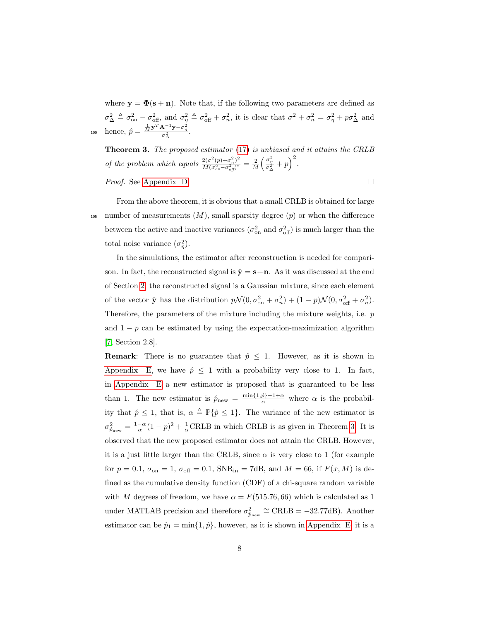where  $y = \Phi(s + n)$ . Note that, if the following two parameters are defined as  $\sigma_{\Delta}^2 \triangleq \sigma_{\rm on}^2 - \sigma_{\rm off}^2$ , and  $\sigma_{\eta}^2 \triangleq \sigma_{\rm off}^2 + \sigma_{n}^2$ , it is clear that  $\sigma^2 + \sigma_{n}^2 = \sigma_{\eta}^2 + p\sigma_{\Delta}^2$  and 100 hence,  $\hat{p} = \frac{\frac{1}{M} \mathbf{y}^T \mathbf{A}^{-1} \mathbf{y} - \sigma_{\eta}^2}{\sigma_{\Delta}^2}$ .

<span id="page-7-0"></span>**Theorem 3.** The proposed estimator [\(17\)](#page-6-3) is unbiased and it attains the CRLB of the problem which equals  $\frac{2(\sigma^2(p)+\sigma_n^2)^2}{M(\sigma^2-\sigma_n^2)^2}$  $\frac{2(\sigma^2(p)+\sigma_n^2)^2}{M(\sigma_{on}^2-\sigma_{off}^2)^2} = \frac{2}{M}\bigg(\frac{\sigma_{\eta}^2}{\sigma_{\Delta}^2}+p\bigg)^2.$ 

 $\Box$ 

Proof. See [Appendix D.](#page-23-0)

From the above theorem, it is obvious that a small CRLB is obtained for large <sup>105</sup> number of measurements  $(M)$ , small sparsity degree  $(p)$  or when the difference between the active and inactive variances  $(\sigma_{on}^2$  and  $\sigma_{off}^2)$  is much larger than the total noise variance  $(\sigma_{\eta}^2)$ .

In the simulations, the estimator after reconstruction is needed for comparison. In fact, the reconstructed signal is  $\hat{\mathbf{y}} = \mathbf{s} + \mathbf{n}$ . As it was discussed at the end of Section [2,](#page-2-0) the reconstructed signal is a Gaussian mixture, since each element of the vector  $\hat{\mathbf{y}}$  has the distribution  $p\mathcal{N}(0, \sigma_{\text{on}}^2 + \sigma_n^2) + (1 - p)\mathcal{N}(0, \sigma_{\text{off}}^2 + \sigma_n^2)$ . Therefore, the parameters of the mixture including the mixture weights, i.e.  $p$ and  $1 - p$  can be estimated by using the expectation-maximization algorithm [\[7,](#page-29-6) Section 2.8].

**Remark:** There is no guarantee that  $\hat{p} \leq 1$ . However, as it is shown in [Appendix E,](#page-26-0) we have  $\hat{p} \leq 1$  with a probability very close to 1. In fact, in [Appendix E](#page-26-0) a new estimator is proposed that is guaranteed to be less than 1. The new estimator is  $\hat{p}_{new} = \frac{\min\{1,\hat{p}\}-1+\alpha}{\alpha}$  where  $\alpha$  is the probability that  $\hat{p} \leq 1$ , that is,  $\alpha \triangleq \mathbb{P}\{\hat{p} \leq 1\}$ . The variance of the new estimator is  $\sigma_{\hat{p}_{\text{new}}}^2 = \frac{1-\alpha}{\alpha}(1-p)^2 + \frac{1}{\alpha}\text{CRLB}$  in which CRLB is as given in Theorem [3.](#page-7-0) It is observed that the new proposed estimator does not attain the CRLB. However, it is a just little larger than the CRLB, since  $\alpha$  is very close to 1 (for example for  $p = 0.1$ ,  $\sigma_{\text{on}} = 1$ ,  $\sigma_{\text{off}} = 0.1$ ,  $SNR_{\text{in}} = 7dB$ , and  $M = 66$ , if  $F(x, M)$  is defined as the cumulative density function (CDF) of a chi-square random variable with M degrees of freedom, we have  $\alpha = F(515.76, 66)$  which is calculated as 1 under MATLAB precision and therefore  $\sigma_{\hat{p}_{new}}^2 \cong \text{CRLB} = -32.77 \text{dB}$ . Another estimator can be  $\hat{p}_1 = \min\{1, \hat{p}\}\text{, however, as it is shown in Appendix E, it is a.}$  $\hat{p}_1 = \min\{1, \hat{p}\}\text{, however, as it is shown in Appendix E, it is a.}$  $\hat{p}_1 = \min\{1, \hat{p}\}\text{, however, as it is shown in Appendix E, it is a.}$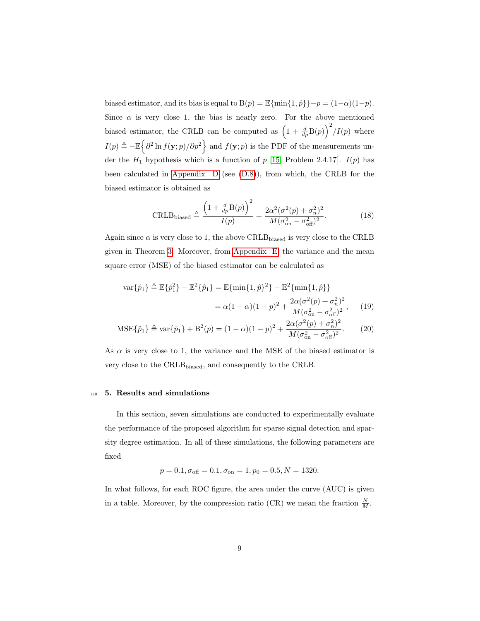biased estimator, and its bias is equal to  $B(p) = \mathbb{E}\{\min\{1, \hat{p}\}\}-p = (1-\alpha)(1-p)$ . Since  $\alpha$  is very close 1, the bias is nearly zero. For the above mentioned biased estimator, the CRLB can be computed as  $\left(1 + \frac{d}{dp}B(p)\right)^2/I(p)$  where  $I(p) \triangleq -\mathbb{E} \left\{\partial^2 \ln f(\mathbf{y};p)/\partial p^2\right\}$  and  $f(\mathbf{y};p)$  is the PDF of the measurements under the  $H_1$  hypothesis which is a function of p [\[15,](#page-29-7) Problem 2.4.17].  $I(p)$  has been calculated in Appendix  $D$  (see  $(D.8)$ ), from which, the CRLB for the biased estimator is obtained as

$$
\text{CRLB}_{\text{biased}} \triangleq \frac{\left(1 + \frac{d}{dp}B(p)\right)^2}{I(p)} = \frac{2\alpha^2(\sigma^2(p) + \sigma_n^2)^2}{M(\sigma_{\text{on}}^2 - \sigma_{\text{off}}^2)^2}.
$$
 (18)

Again since  $\alpha$  is very close to 1, the above CRLB<sub>biased</sub> is very close to the CRLB given in Theorem [3.](#page-7-0) Moreover, from [Appendix E,](#page-26-0) the variance and the mean square error (MSE) of the biased estimator can be calculated as

$$
\begin{split} \text{var}\{\hat{p}_{1}\} &\triangleq \mathbb{E}\{\hat{p}_{1}^{2}\} - \mathbb{E}^{2}\{\hat{p}_{1}\} = \mathbb{E}\{\min\{1,\hat{p}\}^{2}\} - \mathbb{E}^{2}\{\min\{1,\hat{p}\}\} \\ &= \alpha(1-\alpha)(1-p)^{2} + \frac{2\alpha(\sigma^{2}(p) + \sigma_{n}^{2})^{2}}{M(\sigma_{\text{on}}^{2} - \sigma_{\text{off}}^{2})^{2}}, \qquad (19) \\ \text{MSE}\{\hat{p}_{1}\} &\triangleq \text{var}\{\hat{p}_{1}\} + \mathbb{B}^{2}(p) = (1-\alpha)(1-p)^{2} + \frac{2\alpha(\sigma^{2}(p) + \sigma_{n}^{2})^{2}}{M(\sigma_{\text{on}}^{2} - \sigma_{\text{off}}^{2})^{2}}. \end{split}
$$

As  $\alpha$  is very close to 1, the variance and the MSE of the biased estimator is very close to the CRLBbiased, and consequently to the CRLB.

#### <span id="page-8-0"></span><sup>110</sup> 5. Results and simulations

In this section, seven simulations are conducted to experimentally evaluate the performance of the proposed algorithm for sparse signal detection and sparsity degree estimation. In all of these simulations, the following parameters are fixed

$$
p = 0.1, \sigma_{\text{off}} = 0.1, \sigma_{\text{on}} = 1, p_0 = 0.5, N = 1320.
$$

In what follows, for each ROC figure, the area under the curve (AUC) is given in a table. Moreover, by the compression ratio (CR) we mean the fraction  $\frac{N}{M}$ .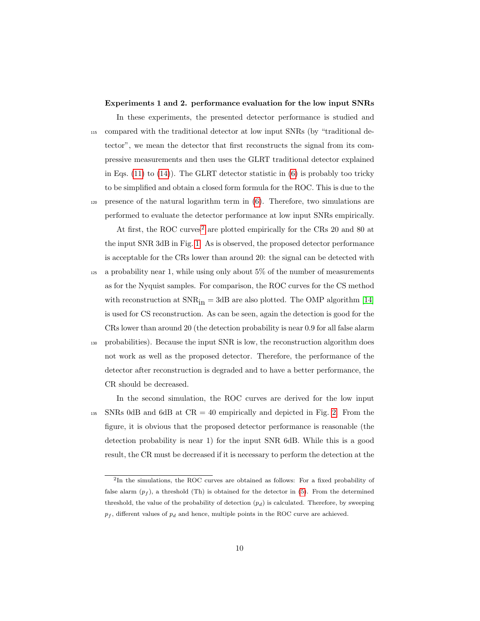#### Experiments 1 and 2. performance evaluation for the low input SNRs

In these experiments, the presented detector performance is studied and <sup>115</sup> compared with the traditional detector at low input SNRs (by "traditional detector", we mean the detector that first reconstructs the signal from its compressive measurements and then uses the GLRT traditional detector explained in Eqs.  $(11)$  to  $(14)$ ). The GLRT detector statistic in  $(6)$  is probably too tricky to be simplified and obtain a closed form formula for the ROC. This is due to the  $120$  presence of the natural logarithm term in  $(6)$ . Therefore, two simulations are performed to evaluate the detector performance at low input SNRs empirically.

At first, the ROC curves<sup>[2](#page-9-0)</sup> are plotted empirically for the CRs 20 and 80 at the input SNR 3dB in Fig. [1.](#page-10-0) As is observed, the proposed detector performance is acceptable for the CRs lower than around 20: the signal can be detected with

<sup>125</sup> a probability near 1, while using only about 5% of the number of measurements as for the Nyquist samples. For comparison, the ROC curves for the CS method with reconstruction at  $SNR_{in} = 3dB$  are also plotted. The OMP algorithm [\[14\]](#page-29-8) is used for CS reconstruction. As can be seen, again the detection is good for the CRs lower than around 20 (the detection probability is near 0.9 for all false alarm

<sup>130</sup> probabilities). Because the input SNR is low, the reconstruction algorithm does not work as well as the proposed detector. Therefore, the performance of the detector after reconstruction is degraded and to have a better performance, the CR should be decreased.

In the second simulation, the ROC curves are derived for the low input 135 SNRs 0dB and 6dB at  $CR = 40$  empirically and depicted in Fig. [2.](#page-11-0) From the figure, it is obvious that the proposed detector performance is reasonable (the detection probability is near 1) for the input SNR 6dB. While this is a good result, the CR must be decreased if it is necessary to perform the detection at the

<span id="page-9-0"></span><sup>&</sup>lt;sup>2</sup>In the simulations, the ROC curves are obtained as follows: For a fixed probability of false alarm  $(p_f)$ , a threshold (Th) is obtained for the detector in [\(5\)](#page-4-0). From the determined threshold, the value of the probability of detection  $(p_d)$  is calculated. Therefore, by sweeping  $p_f$ , different values of  $p_d$  and hence, multiple points in the ROC curve are achieved.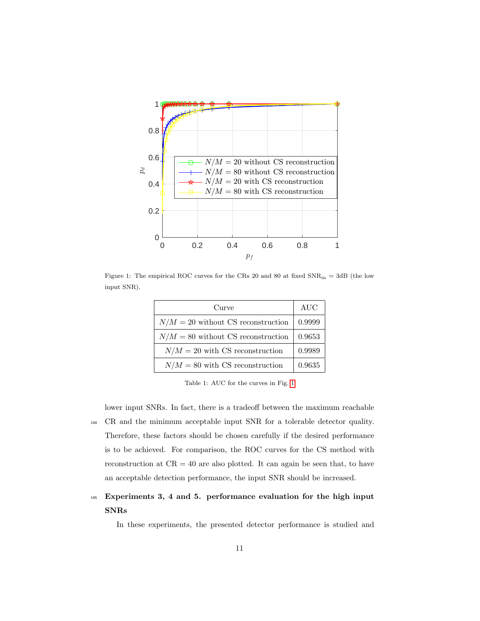

<span id="page-10-0"></span>Figure 1: The empirical ROC curves for the CRs 20 and 80 at fixed  $SNR_{in} = 3dB$  (the low input SNR).

| Curve                                | AUC    |
|--------------------------------------|--------|
| $N/M = 20$ without CS reconstruction | 0.9999 |
| $N/M = 80$ without CS reconstruction | 0.9653 |
| $N/M = 20$ with CS reconstruction    | 0.9989 |
| $N/M = 80$ with CS reconstruction    | 0.9635 |

Table 1: AUC for the curves in Fig. [1](#page-10-0)

lower input SNRs. In fact, there is a tradeoff between the maximum reachable <sup>140</sup> CR and the minimum acceptable input SNR for a tolerable detector quality. Therefore, these factors should be chosen carefully if the desired performance is to be achieved. For comparison, the ROC curves for the CS method with reconstruction at  $CR = 40$  are also plotted. It can again be seen that, to have an acceptable detection performance, the input SNR should be increased.

## <sup>145</sup> Experiments 3, 4 and 5. performance evaluation for the high input SNRs

In these experiments, the presented detector performance is studied and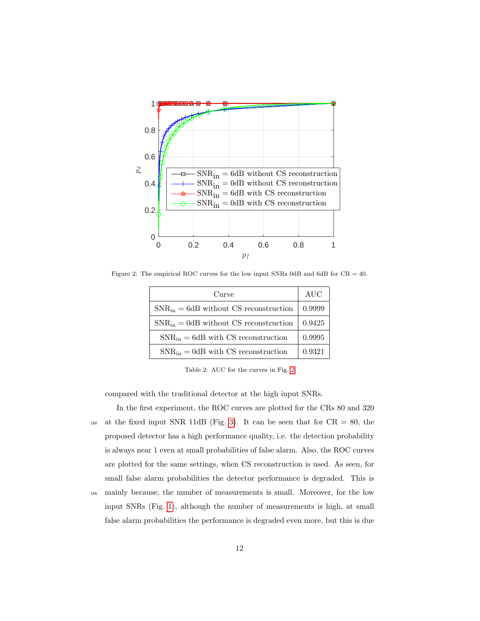

Figure 2: The empirical ROC curves for the low input SNRs 0dB and 6dB for CR = 40.

<span id="page-11-0"></span>

| Curve                                       | AUC    |
|---------------------------------------------|--------|
| $SNR_{in} = 6dB$ without CS reconstruction  | 0.9999 |
| $SNR_{in} = 0$ dB without CS reconstruction | 0.9425 |
| $SNR_{in} = 6dB$ with CS reconstruction     | 0.9995 |
| $SNR_{in} = 0$ dB with CS reconstruction    | 0.9321 |

Table 2: AUC for the curves in Fig. [2](#page-11-0)

compared with the traditional detector at the high input SNRs.

In the first experiment, the ROC curves are plotted for the CRs 80 and 320 150 at the fixed input SNR 11dB (Fig. [3\)](#page-12-0). It can be seen that for  $CR = 80$ , the proposed detector has a high performance quality, i.e. the detection probability is always near 1 even at small probabilities of false alarm. Also, the ROC curves are plotted for the same settings, when CS reconstruction is used. As seen, for small false alarm probabilities the detector performance is degraded. This is <sup>155</sup> mainly because, the number of measurements is small. Moreover, for the low

input SNRs (Fig. [1\)](#page-10-0), although the number of measurements is high, at small false alarm probabilities the performance is degraded even more, but this is due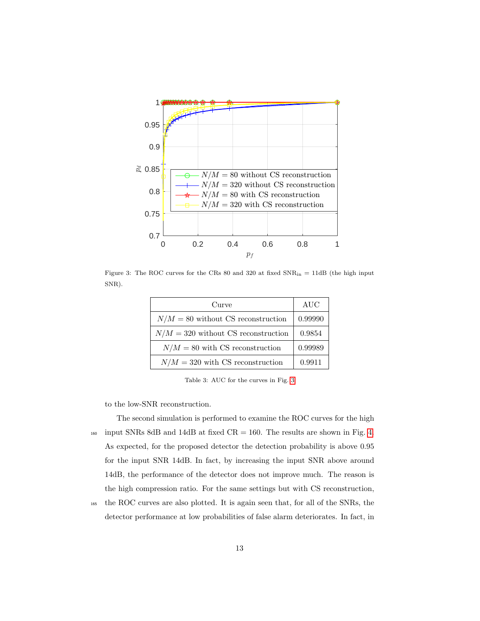

<span id="page-12-0"></span>Figure 3: The ROC curves for the CRs 80 and 320 at fixed  $SNR_{in} = 11dB$  (the high input SNR).

| Curve                                 | AUC     |
|---------------------------------------|---------|
| $N/M = 80$ without CS reconstruction  | 0.99990 |
| $N/M = 320$ without CS reconstruction | 0.9854  |
| $N/M = 80$ with CS reconstruction     | 0.99989 |
| $N/M = 320$ with CS reconstruction    | 0.9911  |

Table 3: AUC for the curves in Fig. [3](#page-12-0)

to the low-SNR reconstruction.

The second simulation is performed to examine the ROC curves for the high 160 input SNRs 8dB and 14dB at fixed  $CR = 160$ . The results are shown in Fig. [4.](#page-13-0) As expected, for the proposed detector the detection probability is above 0.95 for the input SNR 14dB. In fact, by increasing the input SNR above around 14dB, the performance of the detector does not improve much. The reason is the high compression ratio. For the same settings but with CS reconstruction,

<sup>165</sup> the ROC curves are also plotted. It is again seen that, for all of the SNRs, the detector performance at low probabilities of false alarm deteriorates. In fact, in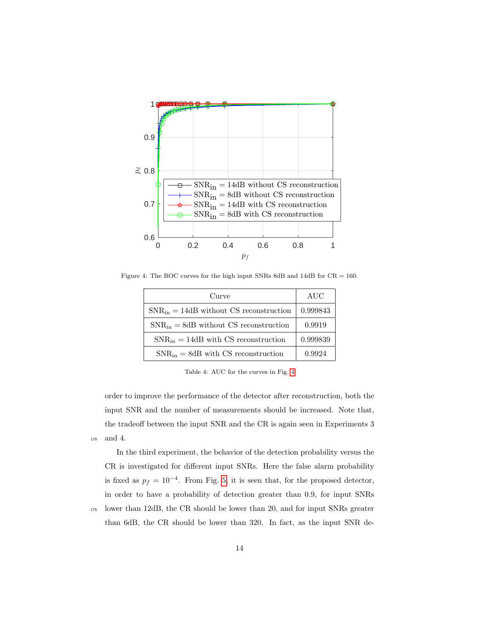

Figure 4: The ROC curves for the high input SNRs 8dB and 14dB for CR = 160.

<span id="page-13-0"></span>

| Curve                                       | AUC      |
|---------------------------------------------|----------|
| $SNR_{in} = 14dB$ without CS reconstruction | 0.999843 |
| $SNR_{in} = 8dB$ without CS reconstruction  | 0.9919   |
| $SNR_{in} = 14dB$ with CS reconstruction    | 0.999839 |
| $SNR_{in} = 8dB$ with CS reconstruction     | 0.9924   |

Table 4: AUC for the curves in Fig. [4](#page-13-0)

order to improve the performance of the detector after reconstruction, both the input SNR and the number of measurements should be increased. Note that, the tradeoff between the input SNR and the CR is again seen in Experiments 3 <sup>170</sup> and 4.

In the third experiment, the behavior of the detection probability versus the CR is investigated for different input SNRs. Here the false alarm probability is fixed as  $p_f = 10^{-4}$ . From Fig. [5,](#page-14-0) it is seen that, for the proposed detector, in order to have a probability of detection greater than 0.9, for input SNRs <sup>175</sup> lower than 12dB, the CR should be lower than 20, and for input SNRs greater than 6dB, the CR should be lower than 320. In fact, as the input SNR de-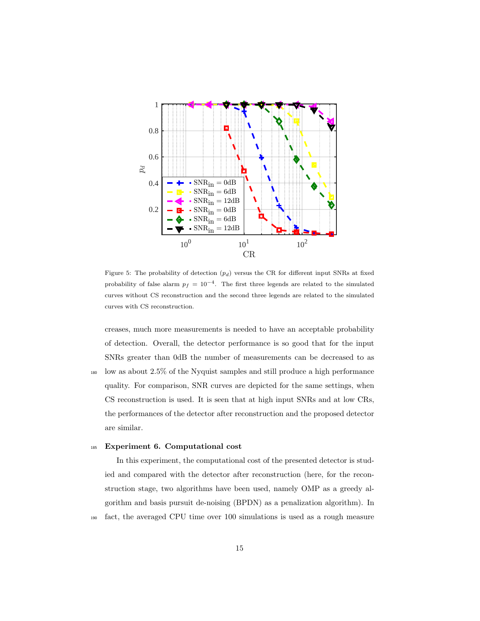

<span id="page-14-0"></span>Figure 5: The probability of detection  $(p_d)$  versus the CR for different input SNRs at fixed probability of false alarm  $p_f = 10^{-4}$ . The first three legends are related to the simulated curves without CS reconstruction and the second three legends are related to the simulated curves with CS reconstruction.

creases, much more measurements is needed to have an acceptable probability of detection. Overall, the detector performance is so good that for the input SNRs greater than 0dB the number of measurements can be decreased to as <sup>180</sup> low as about 2.5% of the Nyquist samples and still produce a high performance quality. For comparison, SNR curves are depicted for the same settings, when CS reconstruction is used. It is seen that at high input SNRs and at low CRs, the performances of the detector after reconstruction and the proposed detector are similar.

#### <sup>185</sup> Experiment 6. Computational cost

In this experiment, the computational cost of the presented detector is studied and compared with the detector after reconstruction (here, for the reconstruction stage, two algorithms have been used, namely OMP as a greedy algorithm and basis pursuit de-noising (BPDN) as a penalization algorithm). In <sup>190</sup> fact, the averaged CPU time over 100 simulations is used as a rough measure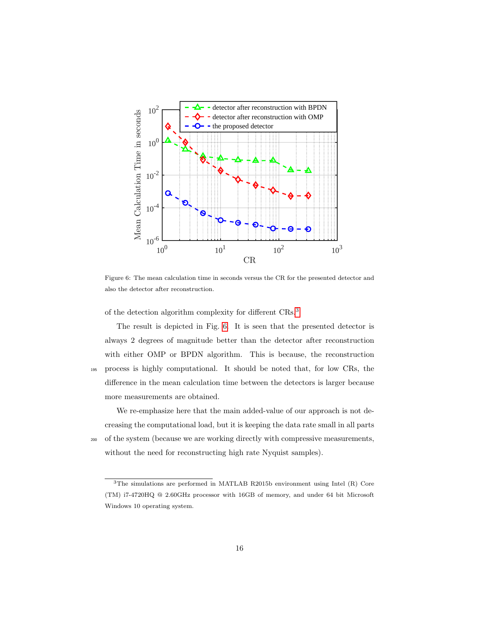

<span id="page-15-1"></span>Figure 6: The mean calculation time in seconds versus the CR for the presented detector and also the detector after reconstruction.

of the detection algorithm complexity for different CRs.[3](#page-15-0)

The result is depicted in Fig. [6.](#page-15-1) It is seen that the presented detector is always 2 degrees of magnitude better than the detector after reconstruction with either OMP or BPDN algorithm. This is because, the reconstruction <sup>195</sup> process is highly computational. It should be noted that, for low CRs, the difference in the mean calculation time between the detectors is larger because more measurements are obtained.

We re-emphasize here that the main added-value of our approach is not decreasing the computational load, but it is keeping the data rate small in all parts <sup>200</sup> of the system (because we are working directly with compressive measurements, without the need for reconstructing high rate Nyquist samples).

<span id="page-15-0"></span><sup>3</sup>The simulations are performed in MATLAB R2015b environment using Intel (R) Core (TM) i7-4720HQ @ 2.60GHz processor with 16GB of memory, and under 64 bit Microsoft Windows 10 operating system.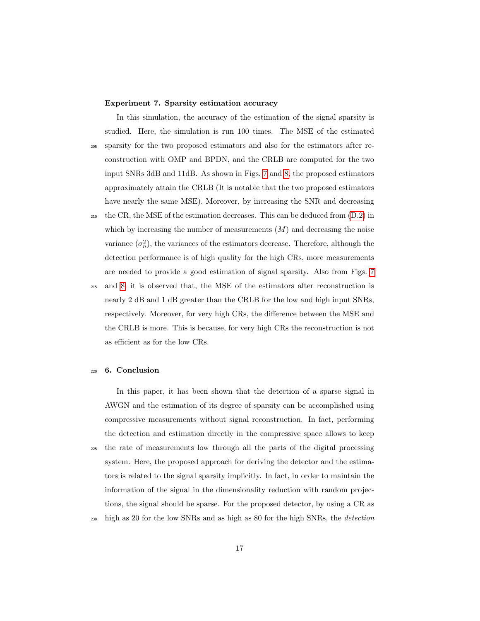#### Experiment 7. Sparsity estimation accuracy

In this simulation, the accuracy of the estimation of the signal sparsity is studied. Here, the simulation is run 100 times. The MSE of the estimated <sup>205</sup> sparsity for the two proposed estimators and also for the estimators after reconstruction with OMP and BPDN, and the CRLB are computed for the two input SNRs 3dB and 11dB. As shown in Figs. [7](#page-17-0) and [8,](#page-17-1) the proposed estimators approximately attain the CRLB (It is notable that the two proposed estimators have nearly the same MSE). Moreover, by increasing the SNR and decreasing

<sup>210</sup> the CR, the MSE of the estimation decreases. This can be deduced from [\(D.2\)](#page-24-0) in which by increasing the number of measurements  $(M)$  and decreasing the noise variance  $(\sigma_n^2)$ , the variances of the estimators decrease. Therefore, although the detection performance is of high quality for the high CRs, more measurements are needed to provide a good estimation of signal sparsity. Also from Figs. [7](#page-17-0)

<sup>215</sup> and [8,](#page-17-1) it is observed that, the MSE of the estimators after reconstruction is nearly 2 dB and 1 dB greater than the CRLB for the low and high input SNRs, respectively. Moreover, for very high CRs, the difference between the MSE and the CRLB is more. This is because, for very high CRs the reconstruction is not as efficient as for the low CRs.

#### <sup>220</sup> 6. Conclusion

In this paper, it has been shown that the detection of a sparse signal in AWGN and the estimation of its degree of sparsity can be accomplished using compressive measurements without signal reconstruction. In fact, performing the detection and estimation directly in the compressive space allows to keep <sup>225</sup> the rate of measurements low through all the parts of the digital processing system. Here, the proposed approach for deriving the detector and the estimators is related to the signal sparsity implicitly. In fact, in order to maintain the information of the signal in the dimensionality reduction with random projections, the signal should be sparse. For the proposed detector, by using a CR as <sup>230</sup> high as 20 for the low SNRs and as high as 80 for the high SNRs, the *detection*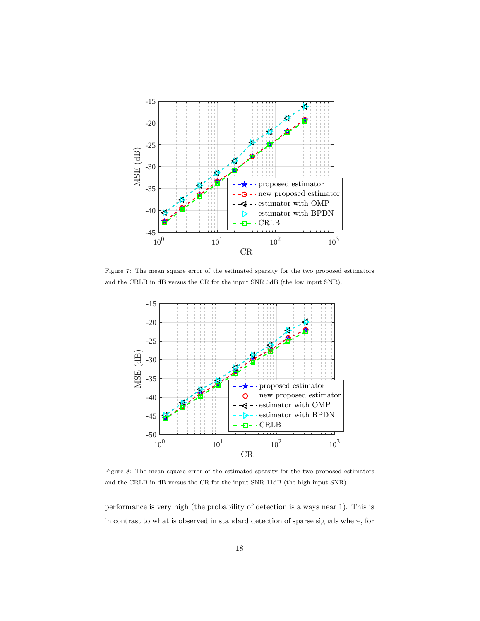

<span id="page-17-0"></span>Figure 7: The mean square error of the estimated sparsity for the two proposed estimators and the CRLB in dB versus the CR for the input SNR 3dB (the low input SNR).



<span id="page-17-1"></span>Figure 8: The mean square error of the estimated sparsity for the two proposed estimators and the CRLB in dB versus the CR for the input SNR 11dB (the high input SNR).

performance is very high (the probability of detection is always near 1). This is in contrast to what is observed in standard detection of sparse signals where, for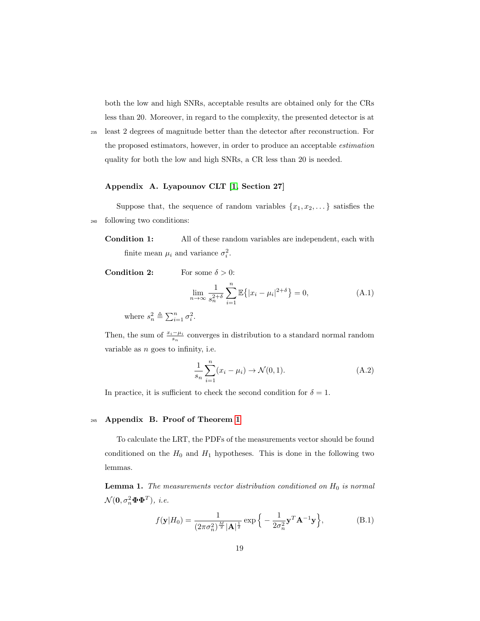both the low and high SNRs, acceptable results are obtained only for the CRs less than 20. Moreover, in regard to the complexity, the presented detector is at

<sup>235</sup> least 2 degrees of magnitude better than the detector after reconstruction. For

the proposed estimators, however, in order to produce an acceptable estimation quality for both the low and high SNRs, a CR less than 20 is needed.

#### <span id="page-18-0"></span>Appendix A. Lyapounov CLT [\[1,](#page-28-4) Section 27]

Suppose that, the sequence of random variables  $\{x_1, x_2, \dots\}$  satisfies the <sup>240</sup> following two conditions:

**Condition 1:** All of these random variables are independent, each with finite mean  $\mu_i$  and variance  $\sigma_i^2$ .

**Condition 2:** For some  $\delta > 0$ :

$$
\lim_{n \to \infty} \frac{1}{s_n^{2+\delta}} \sum_{i=1}^n \mathbb{E}\{|x_i - \mu_i|^{2+\delta}\} = 0,
$$
\n(A.1)

where  $s_n^2 \triangleq \sum_{i=1}^n \sigma_i^2$ .

Then, the sum of  $\frac{x_i - \mu_i}{s_n}$  converges in distribution to a standard normal random variable as  $n$  goes to infinity, i.e.

$$
\frac{1}{s_n} \sum_{i=1}^n (x_i - \mu_i) \to \mathcal{N}(0, 1).
$$
 (A.2)

In practice, it is sufficient to check the second condition for  $\delta = 1$ .

#### <span id="page-18-1"></span><sup>245</sup> Appendix B. Proof of Theorem [1](#page-3-0)

To calculate the LRT, the PDFs of the measurements vector should be found conditioned on the  $H_0$  and  $H_1$  hypotheses. This is done in the following two lemmas.

<span id="page-18-2"></span>**Lemma 1.** The measurements vector distribution conditioned on  $H_0$  is normal  $\mathcal{N}(\mathbf{0}, \sigma_n^2 \mathbf{\Phi} \mathbf{\Phi}^T)$ , i.e.

$$
f(\mathbf{y}|H_0) = \frac{1}{(2\pi\sigma_n^2)^{\frac{M}{2}}|\mathbf{A}|^{\frac{1}{2}}} \exp\left\{-\frac{1}{2\sigma_n^2}\mathbf{y}^T\mathbf{A}^{-1}\mathbf{y}\right\},\tag{B.1}
$$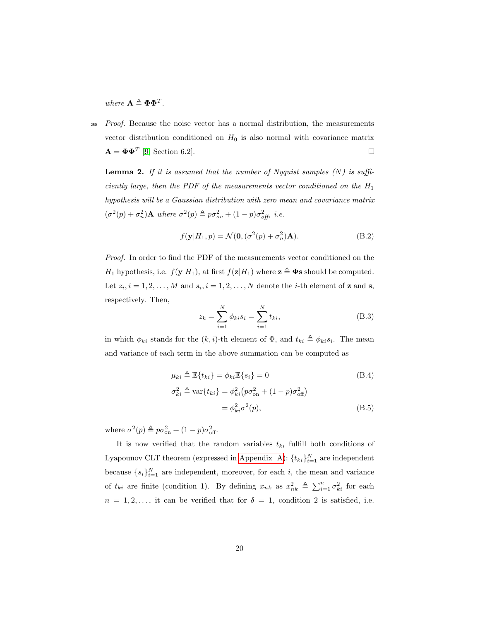where  $\mathbf{A} \triangleq \mathbf{\Phi} \mathbf{\Phi}^T$ .

<sub>250</sub> Proof. Because the noise vector has a normal distribution, the measurements vector distribution conditioned on  $H_0$  is also normal with covariance matrix  $\mathbf{A} = \mathbf{\Phi} \mathbf{\Phi}^T$  [\[9,](#page-29-9) Section 6.2].  $\Box$ 

<span id="page-19-0"></span>**Lemma 2.** If it is assumed that the number of Nyquist samples  $(N)$  is sufficiently large, then the PDF of the measurements vector conditioned on the  $H_1$ hypothesis will be a Gaussian distribution with zero mean and covariance matrix  $(\sigma^2(p) + \sigma_n^2)$ **A** where  $\sigma^2(p) \triangleq p \sigma_{on}^2 + (1-p) \sigma_{off}^2$ , *i.e.* 

$$
f(\mathbf{y}|H_1, p) = \mathcal{N}(\mathbf{0}, (\sigma^2(p) + \sigma_n^2)\mathbf{A}).
$$
 (B.2)

Proof. In order to find the PDF of the measurements vector conditioned on the  $H_1$  hypothesis, i.e.  $f(\mathbf{y}|H_1)$ , at first  $f(\mathbf{z}|H_1)$  where  $\mathbf{z} \triangleq \mathbf{\Phi}$ s should be computed. Let  $z_i$ ,  $i = 1, 2, ..., M$  and  $s_i$ ,  $i = 1, 2, ..., N$  denote the *i*-th element of **z** and **s**, respectively. Then,

$$
z_k = \sum_{i=1}^{N} \phi_{ki} s_i = \sum_{i=1}^{N} t_{ki},
$$
 (B.3)

 $(B.5)$ 

in which  $\phi_{ki}$  stands for the  $(k, i)$ -th element of  $\Phi$ , and  $t_{ki} \triangleq \phi_{ki} s_i$ . The mean and variance of each term in the above summation can be computed as

$$
\mu_{ki} \triangleq \mathbb{E}\{t_{ki}\} = \phi_{ki}\mathbb{E}\{s_i\} = 0
$$
\n
$$
\sigma_{ki}^2 \triangleq \text{var}\{t_{ki}\} = \phi_{ki}^2 \left(p\sigma_{\text{on}}^2 + (1-p)\sigma_{\text{off}}^2\right)
$$
\n(B.4)

$$
=\phi_{ki}^2\sigma^2(p),
$$

where  $\sigma^2(p) \triangleq p \sigma_{\text{on}}^2 + (1-p) \sigma_{\text{off}}^2$ .

It is now verified that the random variables  $t_{ki}$  fulfill both conditions of Lyapounov CLT theorem (expressed in [Appendix A\)](#page-18-0):  $\{t_{ki}\}_{i=1}^N$  are independent because  $\{s_i\}_{i=1}^N$  are independent, moreover, for each i, the mean and variance of  $t_{ki}$  are finite (condition 1). By defining  $x_{nk}$  as  $x_{nk}^2 \triangleq \sum_{i=1}^n \sigma_{ki}^2$  for each  $n = 1, 2, \ldots$ , it can be verified that for  $\delta = 1$ , condition 2 is satisfied, i.e.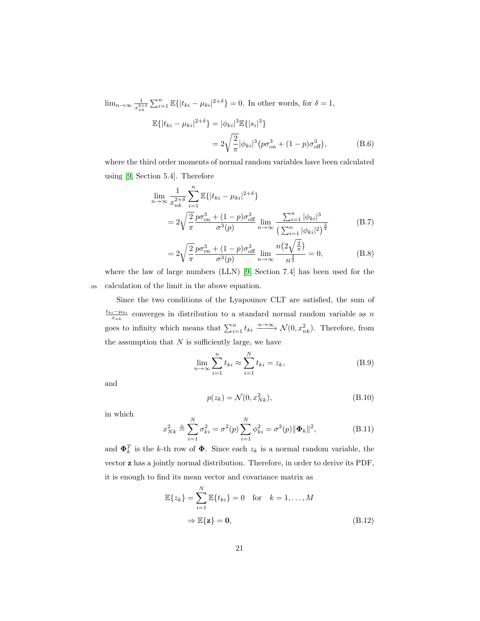$$
\lim_{n \to \infty} \frac{1}{x_{nk}^{2+\delta}} \sum_{i=1}^{n} \mathbb{E} \{ |t_{ki} - \mu_{ki}|^{2+\delta} \} = 0.
$$
 In other words, for  $\delta = 1$ ,  

$$
\mathbb{E} \{ |t_{ki} - \mu_{ki}|^{2+\delta} \} = |\phi_{ki}|^{3} \mathbb{E} \{ |s_i|^{3} \}
$$

$$
= 2\sqrt{\frac{2}{\pi}} |\phi_{ki}|^{3} (p\sigma_{\text{on}}^{3} + (1-p)\sigma_{\text{off}}^{3}), \tag{B.6}
$$

where the third order moments of normal random variables have been calculated using [\[9,](#page-29-9) Section 5.4]. Therefore

$$
\lim_{n \to \infty} \frac{1}{x_{nk}^{2+\delta}} \sum_{i=1}^{n} \mathbb{E}\{|t_{ki} - \mu_{ki}|^{2+\delta}\}\n= 2\sqrt{\frac{2}{\pi}} \frac{p\sigma_{\text{on}}^3 + (1-p)\sigma_{\text{off}}^3}{\sigma^3(p)} \lim_{n \to \infty} \frac{\sum_{i=1}^{n} |\phi_{ki}|^3}{\left(\sum_{i=1}^{n} |\phi_{ki}|^2\right)^{\frac{3}{2}}}\n\tag{B.7}
$$

$$
=2\sqrt{\frac{2}{\pi}}\frac{p\sigma_{\text{on}}^3 + (1-p)\sigma_{\text{off}}^3}{\sigma^3(p)}\lim_{n \to \infty} \frac{n\left(2\sqrt{\frac{2}{\pi}}\right)}{n^{\frac{3}{2}}} = 0,\tag{B.8}
$$

where the law of large numbers (LLN) [\[9,](#page-29-9) Section 7.4] has been used for the <sup>255</sup> calculation of the limit in the above equation.

Since the two conditions of the Lyapounov CLT are satisfied, the sum of  $\frac{t_{ki}-\mu_{ki}}{x_{nk}}$  converges in distribution to a standard normal random variable as n goes to infinity which means that  $\sum_{i=1}^{n} t_{ki} \xrightarrow{n \to \infty} \mathcal{N}(0, x_{nk}^2)$ . Therefore, from the assumption that  $N$  is sufficiently large, we have

$$
\lim_{n \to \infty} \sum_{i=1}^{n} t_{ki} \approx \sum_{i=1}^{N} t_{ki} = z_k,
$$
\n(B.9)

and

$$
p(z_k) = \mathcal{N}(0, x_{Nk}^2),\tag{B.10}
$$

in which

$$
x_{Nk}^2 \triangleq \sum_{i=1}^N \sigma_{ki}^2 = \sigma^2(p) \sum_{i=1}^N \phi_{ki}^2 = \sigma^2(p) \|\mathbf{\Phi}_k\|^2,
$$
 (B.11)

and  $\mathbf{\Phi}_k^T$  is the k-th row of  $\mathbf{\Phi}$ . Since each  $z_k$  is a normal random variable, the vector z has a jointly normal distribution. Therefore, in order to derive its PDF, it is enough to find its mean vector and covariance matrix as

$$
\mathbb{E}\{z_k\} = \sum_{i=1}^N \mathbb{E}\{t_{ki}\} = 0 \quad \text{for} \quad k = 1, ..., M
$$

$$
\Rightarrow \mathbb{E}\{\mathbf{z}\} = \mathbf{0}, \tag{B.12}
$$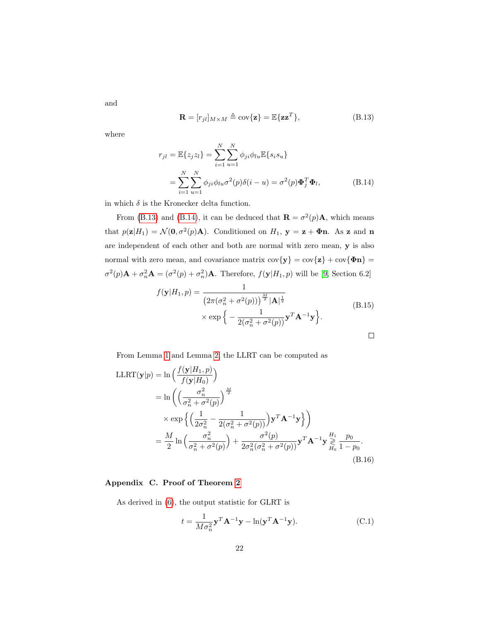<span id="page-21-2"></span>
$$
\mathbf{R} = [r_{jl}]_{M \times M} \triangleq \text{cov}\{\mathbf{z}\} = \mathbb{E}\{\mathbf{z}\mathbf{z}^T\},\tag{B.13}
$$

where

<span id="page-21-1"></span>and

$$
r_{jl} = \mathbb{E}\{z_j z_l\} = \sum_{i=1}^{N} \sum_{u=1}^{N} \phi_{ji} \phi_{lu} \mathbb{E}\{s_i s_u\}
$$
  
= 
$$
\sum_{i=1}^{N} \sum_{u=1}^{N} \phi_{ji} \phi_{lu} \sigma^2(p) \delta(i-u) = \sigma^2(p) \Phi_j^T \Phi_l,
$$
 (B.14)

in which  $\delta$  is the Kronecker delta function.

From [\(B.13\)](#page-21-1) and [\(B.14\)](#page-21-2), it can be deduced that  $\mathbf{R} = \sigma^2(p)\mathbf{A}$ , which means that  $p(\mathbf{z}|H_1) = \mathcal{N}(\mathbf{0}, \sigma^2(p)\mathbf{A})$ . Conditioned on  $H_1$ ,  $\mathbf{y} = \mathbf{z} + \mathbf{\Phi}\mathbf{n}$ . As z and n are independent of each other and both are normal with zero mean, y is also normal with zero mean, and covariance matrix  $\text{cov}\{\mathbf{y}\} = \text{cov}\{\mathbf{z}\} + \text{cov}\{\mathbf{\Phi}\mathbf{n}\} =$  $\sigma^2(p)$ **A** +  $\sigma_n^2$ **A** =  $(\sigma^2(p) + \sigma_n^2)$ **A**. Therefore,  $f(\mathbf{y}|H_1, p)$  will be [\[9,](#page-29-9) Section 6.2]

$$
f(\mathbf{y}|H_1, p) = \frac{1}{\left(2\pi(\sigma_n^2 + \sigma^2(p))\right)^{\frac{M}{2}} |\mathbf{A}|^{\frac{1}{2}}}
$$
  
× exp $\left\{-\frac{1}{2(\sigma_n^2 + \sigma^2(p))}\mathbf{y}^T \mathbf{A}^{-1} \mathbf{y}\right\}.$  (B.15)

From Lemma [1](#page-18-2) and Lemma [2,](#page-19-0) the LLRT can be computed as

$$
\begin{split} \text{LLRT}(\mathbf{y}|p) &= \ln\left(\frac{f(\mathbf{y}|H_1, p)}{f(\mathbf{y}|H_0)}\right) \\ &= \ln\left(\left(\frac{\sigma_n^2}{\sigma_n^2 + \sigma^2(p)}\right)^{\frac{M}{2}} \\ &\times \exp\left\{\left(\frac{1}{2\sigma_n^2} - \frac{1}{2(\sigma_n^2 + \sigma^2(p))}\right) \mathbf{y}^T \mathbf{A}^{-1} \mathbf{y}\right\}\right) \\ &= \frac{M}{2} \ln\left(\frac{\sigma_n^2}{\sigma_n^2 + \sigma^2(p)}\right) + \frac{\sigma^2(p)}{2\sigma_n^2(\sigma_n^2 + \sigma^2(p))} \mathbf{y}^T \mathbf{A}^{-1} \mathbf{y} \underset{H_0}{\geq} \frac{p_0}{1 - p_0}. \end{split} \tag{B.16}
$$

## <span id="page-21-0"></span>Appendix C. Proof of Theorem [2](#page-6-4)

As derived in [\(6\)](#page-4-2), the output statistic for GLRT is

$$
t = \frac{1}{M\sigma_n^2} \mathbf{y}^T \mathbf{A}^{-1} \mathbf{y} - \ln(\mathbf{y}^T \mathbf{A}^{-1} \mathbf{y}).
$$
 (C.1)

22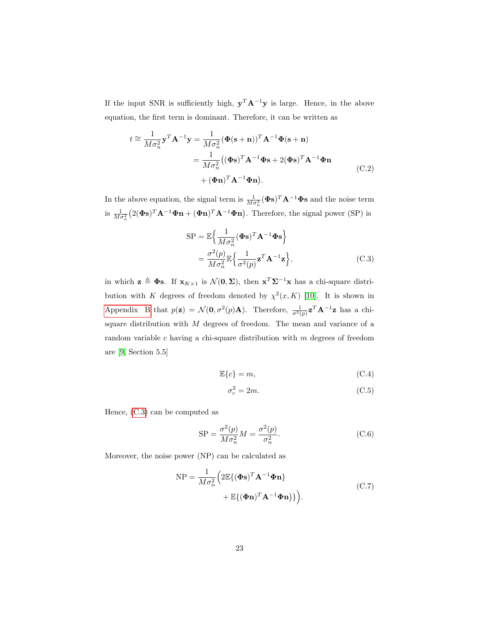If the input SNR is sufficiently high,  $y^T A^{-1}y$  is large. Hence, in the above equation, the first term is dominant. Therefore, it can be written as

$$
t \approx \frac{1}{M\sigma_n^2} \mathbf{y}^T \mathbf{A}^{-1} \mathbf{y} = \frac{1}{M\sigma_n^2} (\Phi(\mathbf{s} + \mathbf{n}))^T \mathbf{A}^{-1} \Phi(\mathbf{s} + \mathbf{n})
$$
  

$$
= \frac{1}{M\sigma_n^2} ((\Phi \mathbf{s})^T \mathbf{A}^{-1} \Phi \mathbf{s} + 2(\Phi \mathbf{s})^T \mathbf{A}^{-1} \Phi \mathbf{n})
$$
  

$$
+ (\Phi \mathbf{n})^T \mathbf{A}^{-1} \Phi \mathbf{n}).
$$
 (C.2)

In the above equation, the signal term is  $\frac{1}{M\sigma_n^2}(\Phi s)^T \mathbf{A}^{-1} \Phi s$  and the noise term is  $\frac{1}{M\sigma_n^2} (2(\Phi s)^T \mathbf{A}^{-1} \Phi \mathbf{n} + (\Phi \mathbf{n})^T \mathbf{A}^{-1} \Phi \mathbf{n}).$  Therefore, the signal power (SP) is

<span id="page-22-0"></span>
$$
SP = \mathbb{E}\left\{\frac{1}{M\sigma_n^2}(\boldsymbol{\Phi}s)^T \mathbf{A}^{-1} \boldsymbol{\Phi}s\right\}
$$
  
=  $\frac{\sigma^2(p)}{M\sigma_n^2} \mathbb{E}\left\{\frac{1}{\sigma^2(p)} \mathbf{z}^T \mathbf{A}^{-1} \mathbf{z}\right\},$  (C.3)

in which  $\mathbf{z} \triangleq \mathbf{\Phi} \mathbf{s}$ . If  $\mathbf{x}_{K\times1}$  is  $\mathcal{N}(\mathbf{0}, \mathbf{\Sigma})$ , then  $\mathbf{x}^T \mathbf{\Sigma}^{-1} \mathbf{x}$  has a chi-square distribution with K degrees of freedom denoted by  $\chi^2(x,K)$  [\[10\]](#page-29-10). It is shown in [Appendix B](#page-18-1) that  $p(\mathbf{z}) = \mathcal{N}(\mathbf{0}, \sigma^2(p)\mathbf{A})$ . Therefore,  $\frac{1}{\sigma^2(p)}\mathbf{z}^T\mathbf{A}^{-1}\mathbf{z}$  has a chisquare distribution with  $M$  degrees of freedom. The mean and variance of a random variable  $c$  having a chi-square distribution with  $m$  degrees of freedom are [\[9,](#page-29-9) Section 5.5]

$$
\mathbb{E}\{c\} = m,\tag{C.4}
$$

<span id="page-22-4"></span><span id="page-22-3"></span><span id="page-22-2"></span><span id="page-22-1"></span>
$$
\sigma_c^2 = 2m.\tag{C.5}
$$

Hence, [\(C.3\)](#page-22-0) can be computed as

$$
SP = \frac{\sigma^2(p)}{M\sigma_n^2}M = \frac{\sigma^2(p)}{\sigma_n^2}.
$$
\n(C.6)

Moreover, the noise power (NP) can be calculated as

$$
NP = \frac{1}{M\sigma_n^2} \left( 2\mathbb{E}\{(\mathbf{\Phi}\mathbf{s})^T \mathbf{A}^{-1} \mathbf{\Phi}\mathbf{n}\} + \mathbb{E}\{(\mathbf{\Phi}\mathbf{n})^T \mathbf{A}^{-1} \mathbf{\Phi}\mathbf{n}\} \right).
$$
\n(C.7)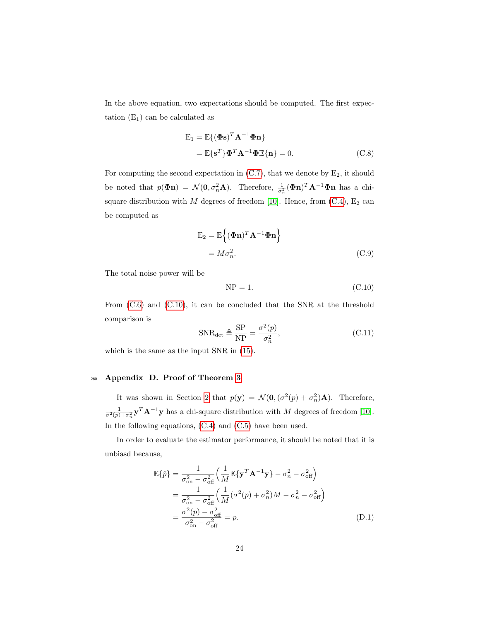In the above equation, two expectations should be computed. The first expectation  $(E_1)$  can be calculated as

$$
\mathbf{E}_1 = \mathbb{E}\{(\mathbf{\Phi}\mathbf{s})^T \mathbf{A}^{-1} \mathbf{\Phi}\mathbf{n}\}
$$
  
=  $\mathbb{E}\{\mathbf{s}^T\} \mathbf{\Phi}^T \mathbf{A}^{-1} \mathbf{\Phi} \mathbb{E}\{\mathbf{n}\} = 0.$  (C.8)

For computing the second expectation in  $(C.7)$ , that we denote by  $E_2$ , it should be noted that  $p(\Phi n) = \mathcal{N}(0, \sigma_n^2 \mathbf{A})$ . Therefore,  $\frac{1}{\sigma_n^2}(\Phi n)^T \mathbf{A}^{-1} \Phi n$  has a chisquare distribution with  $M$  degrees of freedom [\[10\]](#page-29-10). Hence, from [\(C.4\)](#page-22-2),  $E_2$  can be computed as

$$
E_2 = \mathbb{E}\left\{(\boldsymbol{\Phi}\mathbf{n})^T \mathbf{A}^{-1} \boldsymbol{\Phi}\mathbf{n}\right\}
$$
  
=  $M\sigma_n^2$ . (C.9)

The total noise power will be

<span id="page-23-1"></span>
$$
NP = 1.
$$
 (C.10)

From [\(C.6\)](#page-22-3) and [\(C.10\)](#page-23-1), it can be concluded that the SNR at the threshold comparison is

$$
SNR_{\text{det}} \triangleq \frac{SP}{NP} = \frac{\sigma^2(p)}{\sigma_n^2},\tag{C.11}
$$

which is the same as the input SNR in [\(15\)](#page-6-5).

## <span id="page-23-0"></span><sup>260</sup> Appendix D. Proof of Theorem [3](#page-7-0)

It was shown in Section [2](#page-2-0) that  $p(\mathbf{y}) = \mathcal{N}(\mathbf{0}, (\sigma^2(p) + \sigma_n^2)\mathbf{A})$ . Therefore,  $\frac{1}{\sigma^2(p)+\sigma_n^2} \mathbf{y}^T \mathbf{A}^{-1} \mathbf{y}$  has a chi-square distribution with M degrees of freedom [\[10\]](#page-29-10). In the following equations, [\(C.4\)](#page-22-2) and [\(C.5\)](#page-22-4) have been used.

In order to evaluate the estimator performance, it should be noted that it is unbiasd because,

<span id="page-23-2"></span>
$$
\mathbb{E}\{\hat{p}\} = \frac{1}{\sigma_{\text{on}}^2 - \sigma_{\text{off}}^2} \left(\frac{1}{M} \mathbb{E}\{\mathbf{y}^T \mathbf{A}^{-1} \mathbf{y}\} - \sigma_n^2 - \sigma_{\text{off}}^2\right)
$$

$$
= \frac{1}{\sigma_{\text{on}}^2 - \sigma_{\text{off}}^2} \left(\frac{1}{M} (\sigma^2(p) + \sigma_n^2) M - \sigma_n^2 - \sigma_{\text{off}}^2\right)
$$

$$
= \frac{\sigma^2(p) - \sigma_{\text{off}}^2}{\sigma_{\text{on}}^2 - \sigma_{\text{off}}^2} = p. \tag{D.1}
$$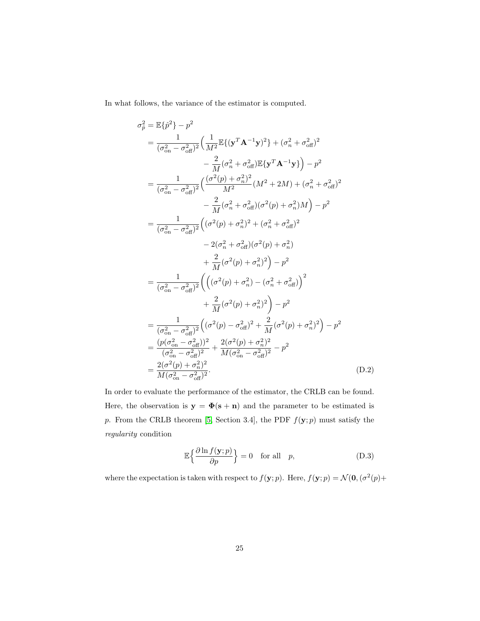In what follows, the variance of the estimator is computed.

$$
\sigma_{\hat{p}}^{2} = \mathbb{E}\{\hat{p}^{2}\} - p^{2}
$$
\n
$$
= \frac{1}{(\sigma_{\text{on}}^{2} - \sigma_{\text{off}}^{2})^{2}} \Big(\frac{1}{M^{2}} \mathbb{E}\{(\mathbf{y}^{T} \mathbf{A}^{-1} \mathbf{y})^{2}\} + (\sigma_{n}^{2} + \sigma_{\text{off}}^{2})^{2}
$$
\n
$$
- \frac{2}{M}(\sigma_{n}^{2} + \sigma_{\text{off}}^{2}) \mathbb{E}\{\mathbf{y}^{T} \mathbf{A}^{-1} \mathbf{y}\}\Big) - p^{2}
$$
\n
$$
= \frac{1}{(\sigma_{\text{on}}^{2} - \sigma_{\text{off}}^{2})^{2}} \Big(\frac{(\sigma^{2}(p) + \sigma_{n}^{2})^{2}}{M^{2}} (M^{2} + 2M) + (\sigma_{n}^{2} + \sigma_{\text{off}}^{2})^{2}
$$
\n
$$
- \frac{2}{M}(\sigma_{n}^{2} + \sigma_{\text{off}}^{2}) (\sigma^{2}(p) + \sigma_{n}^{2})M\Big) - p^{2}
$$
\n
$$
= \frac{1}{(\sigma_{\text{on}}^{2} - \sigma_{\text{off}}^{2})^{2}} \Big((\sigma^{2}(p) + \sigma_{n}^{2})^{2} + (\sigma_{n}^{2} + \sigma_{\text{off}}^{2})^{2}
$$
\n
$$
- 2(\sigma_{n}^{2} + \sigma_{\text{off}}^{2}) (\sigma^{2}(p) + \sigma_{n}^{2})
$$
\n
$$
+ \frac{2}{M}(\sigma^{2}(p) + \sigma_{n}^{2})^{2}\Big) - p^{2}
$$
\n
$$
= \frac{1}{(\sigma_{\text{on}}^{2} - \sigma_{\text{off}}^{2})^{2}} \Big(\Big((\sigma^{2}(p) + \sigma_{n}^{2}) - (\sigma_{n}^{2} + \sigma_{\text{off}}^{2})\Big)^{2}
$$
\n
$$
+ \frac{2}{M}(\sigma^{2}(p) + \sigma_{n}^{2})^{2}\Big) - p^{2}
$$
\n
$$
= \frac{1}{(\sigma_{\text{on}}^{2} - \sigma_{\text{off}}^{2})^{2}} \Big((\sigma^{2}(p) - \sigma_{\text{off}}^{2})^{2
$$

In order to evaluate the performance of the estimator, the CRLB can be found. Here, the observation is  $y = \Phi(s + n)$  and the parameter to be estimated is p. From the CRLB theorem [\[5,](#page-28-5) Section 3.4], the PDF  $f(\mathbf{y}; p)$  must satisfy the regularity condition

<span id="page-24-1"></span><span id="page-24-0"></span>
$$
\mathbb{E}\left\{\frac{\partial \ln f(\mathbf{y};p)}{\partial p}\right\} = 0 \quad \text{for all} \quad p,
$$
\n(D.3)

where the expectation is taken with respect to  $f(\mathbf{y};p)$ . Here,  $f(\mathbf{y};p) = \mathcal{N}(\mathbf{0}, (\sigma^2(p) +$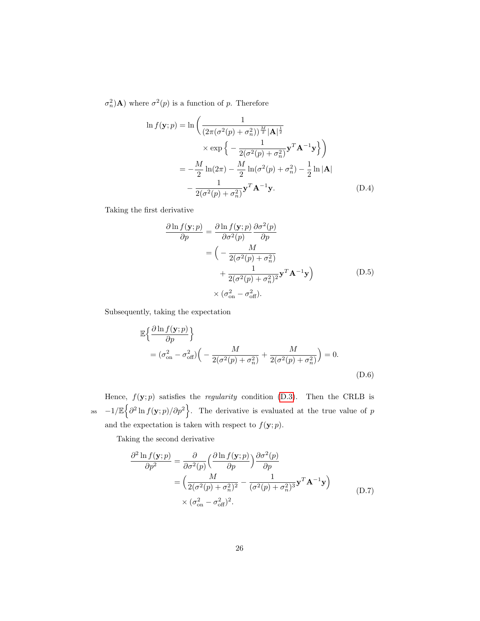$\sigma_n^2$  **A**) where  $\sigma^2(p)$  is a function of p. Therefore

$$
\ln f(\mathbf{y};p) = \ln \left( \frac{1}{\left(2\pi(\sigma^2(p) + \sigma_n^2)\right)^{\frac{M}{2}} |\mathbf{A}|^{\frac{1}{2}}} \times \exp \left\{-\frac{1}{2(\sigma^2(p) + \sigma_n^2)} \mathbf{y}^T \mathbf{A}^{-1} \mathbf{y}\right\}\right)
$$

$$
= -\frac{M}{2} \ln(2\pi) - \frac{M}{2} \ln(\sigma^2(p) + \sigma_n^2) - \frac{1}{2} \ln |\mathbf{A}|
$$

$$
- \frac{1}{2(\sigma^2(p) + \sigma_n^2)} \mathbf{y}^T \mathbf{A}^{-1} \mathbf{y}.
$$
(D.4)

Taking the first derivative

$$
\frac{\partial \ln f(\mathbf{y}; p)}{\partial p} = \frac{\partial \ln f(\mathbf{y}; p)}{\partial \sigma^2(p)} \frac{\partial \sigma^2(p)}{\partial p}
$$

$$
= \left( -\frac{M}{2(\sigma^2(p) + \sigma_n^2)} + \frac{1}{2(\sigma^2(p) + \sigma_n^2)^2} \mathbf{y}^T \mathbf{A}^{-1} \mathbf{y} \right) \qquad (D.5)
$$

$$
\times (\sigma_{on}^2 - \sigma_{off}^2).
$$

Subsequently, taking the expectation

$$
\mathbb{E}\left\{\frac{\partial \ln f(\mathbf{y};p)}{\partial p}\right\}
$$
  
=  $(\sigma_{\text{on}}^2 - \sigma_{\text{off}}^2)\left(-\frac{M}{2(\sigma^2(p) + \sigma_n^2)} + \frac{M}{2(\sigma^2(p) + \sigma_n^2)}\right) = 0.$  (D.6)

Hence,  $f(\mathbf{y}; p)$  satisfies the *regularity* condition [\(D.3\)](#page-24-1). Then the CRLB is <sub>265</sub>  $-1/\mathbb{E} \{\partial^2 \ln f(\mathbf{y};p)/\partial p^2\}$ . The derivative is evaluated at the true value of p and the expectation is taken with respect to  $f(\mathbf{y}; p)$ .

Taking the second derivative

$$
\frac{\partial^2 \ln f(\mathbf{y}; p)}{\partial p^2} = \frac{\partial}{\partial \sigma^2(p)} \left( \frac{\partial \ln f(\mathbf{y}; p)}{\partial p} \right) \frac{\partial \sigma^2(p)}{\partial p}
$$
  
= 
$$
\left( \frac{M}{2(\sigma^2(p) + \sigma_n^2)^2} - \frac{1}{(\sigma^2(p) + \sigma_n^2)^3} \mathbf{y}^T \mathbf{A}^{-1} \mathbf{y} \right)
$$
  

$$
\times (\sigma_{\text{on}}^2 - \sigma_{\text{off}}^2)^2.
$$
 (D.7)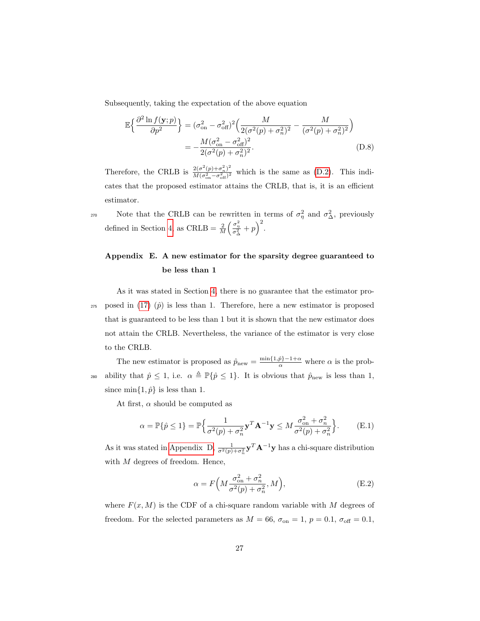Subsequently, taking the expectation of the above equation

<span id="page-26-1"></span>
$$
\mathbb{E}\left\{\frac{\partial^2 \ln f(\mathbf{y}; p)}{\partial p^2}\right\} = (\sigma_{\text{on}}^2 - \sigma_{\text{off}}^2)^2 \left(\frac{M}{2(\sigma^2(p) + \sigma_n^2)^2} - \frac{M}{(\sigma^2(p) + \sigma_n^2)^2}\right)
$$

$$
= -\frac{M(\sigma_{\text{on}}^2 - \sigma_{\text{off}}^2)^2}{2(\sigma^2(p) + \sigma_n^2)^2}.
$$
(D.8)

Therefore, the CRLB is  $\frac{2(\sigma^2(p)+\sigma_n^2)^2}{M(\sigma^2-\sigma_n^2)^2}$  $\frac{2(\sigma(p)+\sigma_n)}{M(\sigma_{\rm on}^2-\sigma_{\rm off}^2)^2}$  which is the same as [\(D.2\)](#page-24-0). This indicates that the proposed estimator attains the CRLB, that is, it is an efficient estimator.

270 Note that the CRLB can be rewritten in terms of  $\sigma_{\eta}^2$  and  $\sigma_{\Delta}^2$ , previously defined in Section [4,](#page-6-1) as CRLB =  $\frac{2}{M} \left( \frac{\sigma_{\eta}^2}{\sigma_{\Delta}^2} + p \right)^2$ .

## <span id="page-26-0"></span>Appendix E. A new estimator for the sparsity degree guaranteed to be less than 1

As it was stated in Section [4,](#page-6-1) there is no guarantee that the estimator pro-275 posed in [\(17\)](#page-6-3)  $(\hat{p})$  is less than 1. Therefore, here a new estimator is proposed that is guaranteed to be less than 1 but it is shown that the new estimator does not attain the CRLB. Nevertheless, the variance of the estimator is very close to the CRLB.

The new estimator is proposed as  $\hat{p}_{new} = \frac{\min\{1,\hat{p}\}-1+\alpha}{\alpha}$  where  $\alpha$  is the prob-280 ability that  $\hat{p} \leq 1$ , i.e.  $\alpha \triangleq \mathbb{P}\{\hat{p} \leq 1\}$ . It is obvious that  $\hat{p}_{new}$  is less than 1, since  $\min\{1,\hat{p}\}\$ is less than 1.

At first,  $\alpha$  should be computed as

$$
\alpha = \mathbb{P}\{\hat{p} \le 1\} = \mathbb{P}\Big\{\frac{1}{\sigma^2(p) + \sigma_n^2} \mathbf{y}^T \mathbf{A}^{-1} \mathbf{y} \le M \frac{\sigma_{\text{on}}^2 + \sigma_n^2}{\sigma^2(p) + \sigma_n^2}\Big\}.
$$
 (E.1)

As it was stated in [Appendix D,](#page-23-0)  $\frac{1}{\sigma^2(p)+\sigma_n^2}$  $\mathbf{y}^T \mathbf{A}^{-1} \mathbf{y}$  has a chi-square distribution with  $M$  degrees of freedom. Hence,

$$
\alpha = F\left(M \frac{\sigma_{\text{on}}^2 + \sigma_n^2}{\sigma^2(p) + \sigma_n^2}, M\right),\tag{E.2}
$$

where  $F(x, M)$  is the CDF of a chi-square random variable with M degrees of freedom. For the selected parameters as  $M = 66$ ,  $\sigma_{\text{on}} = 1$ ,  $p = 0.1$ ,  $\sigma_{\text{off}} = 0.1$ ,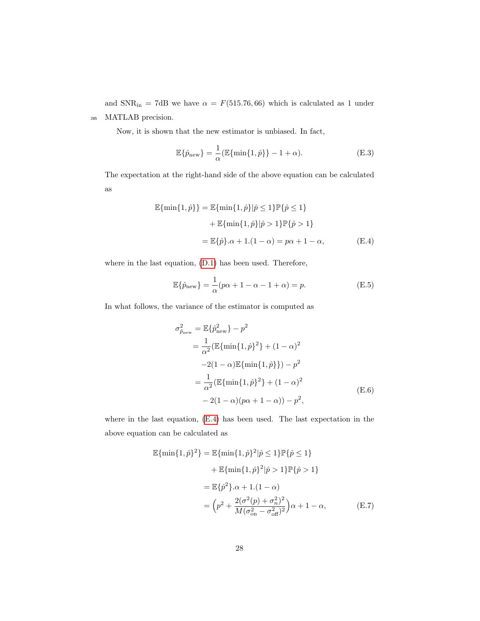and  $SNR_{in} = 7dB$  we have  $\alpha = F(515.76, 66)$  which is calculated as 1 under <sup>285</sup> MATLAB precision.

Now, it is shown that the new estimator is unbiased. In fact,

$$
\mathbb{E}\{\hat{p}_{\text{new}}\} = \frac{1}{\alpha} (\mathbb{E}\{\min\{1,\hat{p}\}\} - 1 + \alpha). \tag{E.3}
$$

The expectation at the right-hand side of the above equation can be calculated as

$$
\mathbb{E}\{\min\{1,\hat{p}\}\} = \mathbb{E}\{\min\{1,\hat{p}\}|\hat{p} \le 1\}\mathbb{P}\{\hat{p} \le 1\} \n+ \mathbb{E}\{\min\{1,\hat{p}\}|\hat{p} > 1\}\mathbb{P}\{\hat{p} > 1\} \n= \mathbb{E}\{\hat{p}\}.\alpha + 1.(1 - \alpha) = p\alpha + 1 - \alpha,
$$
\n(E.4)

where in the last equation, [\(D.1\)](#page-23-2) has been used. Therefore,

<span id="page-27-0"></span>
$$
\mathbb{E}\{\hat{p}_{\text{new}}\} = \frac{1}{\alpha}(p\alpha + 1 - \alpha - 1 + \alpha) = p.
$$
 (E.5)

In what follows, the variance of the estimator is computed as

<span id="page-27-2"></span>
$$
\sigma_{\hat{p}_{\text{new}}}^2 = \mathbb{E}\{\hat{p}_{\text{new}}^2\} - p^2
$$
  
=  $\frac{1}{\alpha^2} (\mathbb{E}\{\min\{1, \hat{p}\}^2\} + (1 - \alpha)^2$   
 $-2(1 - \alpha)\mathbb{E}\{\min\{1, \hat{p}\}\}) - p^2$   
=  $\frac{1}{\alpha^2} (\mathbb{E}\{\min\{1, \hat{p}\}^2\} + (1 - \alpha)^2$   
 $-2(1 - \alpha)(p\alpha + 1 - \alpha)) - p^2,$  (E.6)

where in the last equation, [\(E.4\)](#page-27-0) has been used. The last expectation in the above equation can be calculated as

<span id="page-27-1"></span>
$$
\mathbb{E}\{\min\{1,\hat{p}\}^2\} = \mathbb{E}\{\min\{1,\hat{p}\}^2|\hat{p}\leq 1\}\mathbb{P}\{\hat{p}\leq 1\} \n+ \mathbb{E}\{\min\{1,\hat{p}\}^2|\hat{p}>1\}\mathbb{P}\{\hat{p}>1\} \n= \mathbb{E}\{\hat{p}^2\}.\alpha + 1.(1-\alpha) \n= \left(p^2 + \frac{2(\sigma^2(p) + \sigma_n^2)^2}{M(\sigma_{\text{on}}^2 - \sigma_{\text{off}}^2)^2}\right)\alpha + 1 - \alpha, \tag{E.7}
$$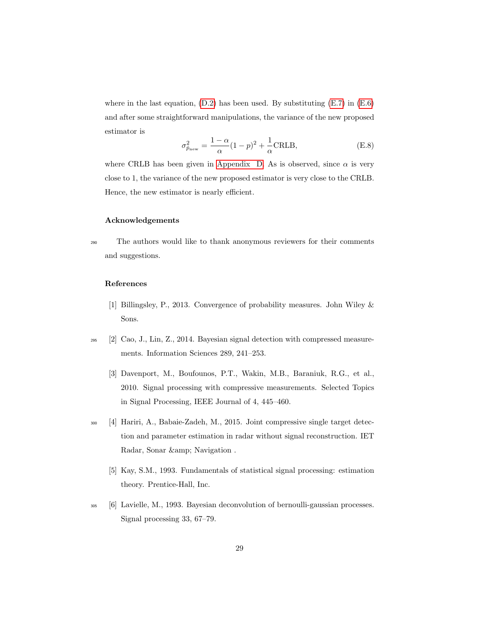where in the last equation,  $(D.2)$  has been used. By substituting  $(E.7)$  in  $(E.6)$ and after some straightforward manipulations, the variance of the new proposed estimator is

$$
\sigma_{\hat{p}_{\text{new}}}^2 = \frac{1 - \alpha}{\alpha} (1 - p)^2 + \frac{1}{\alpha} \text{CRLB},\tag{E.8}
$$

where CRLB has been given in [Appendix D.](#page-23-0) As is observed, since  $\alpha$  is very close to 1, the variance of the new proposed estimator is very close to the CRLB. Hence, the new estimator is nearly efficient.

### Acknowledgements

<sup>290</sup> The authors would like to thank anonymous reviewers for their comments and suggestions.

#### References

- <span id="page-28-4"></span>[1] Billingsley, P., 2013. Convergence of probability measures. John Wiley & Sons.
- <span id="page-28-1"></span><span id="page-28-0"></span><sup>295</sup> [2] Cao, J., Lin, Z., 2014. Bayesian signal detection with compressed measurements. Information Sciences 289, 241–253.
	- [3] Davenport, M., Boufounos, P.T., Wakin, M.B., Baraniuk, R.G., et al., 2010. Signal processing with compressive measurements. Selected Topics in Signal Processing, IEEE Journal of 4, 445–460.
- <span id="page-28-5"></span><span id="page-28-2"></span><sup>300</sup> [4] Hariri, A., Babaie-Zadeh, M., 2015. Joint compressive single target detection and parameter estimation in radar without signal reconstruction. IET Radar, Sonar & amp; Navigation.
	- [5] Kay, S.M., 1993. Fundamentals of statistical signal processing: estimation theory. Prentice-Hall, Inc.
- <span id="page-28-3"></span><sup>305</sup> [6] Lavielle, M., 1993. Bayesian deconvolution of bernoulli-gaussian processes. Signal processing 33, 67–79.